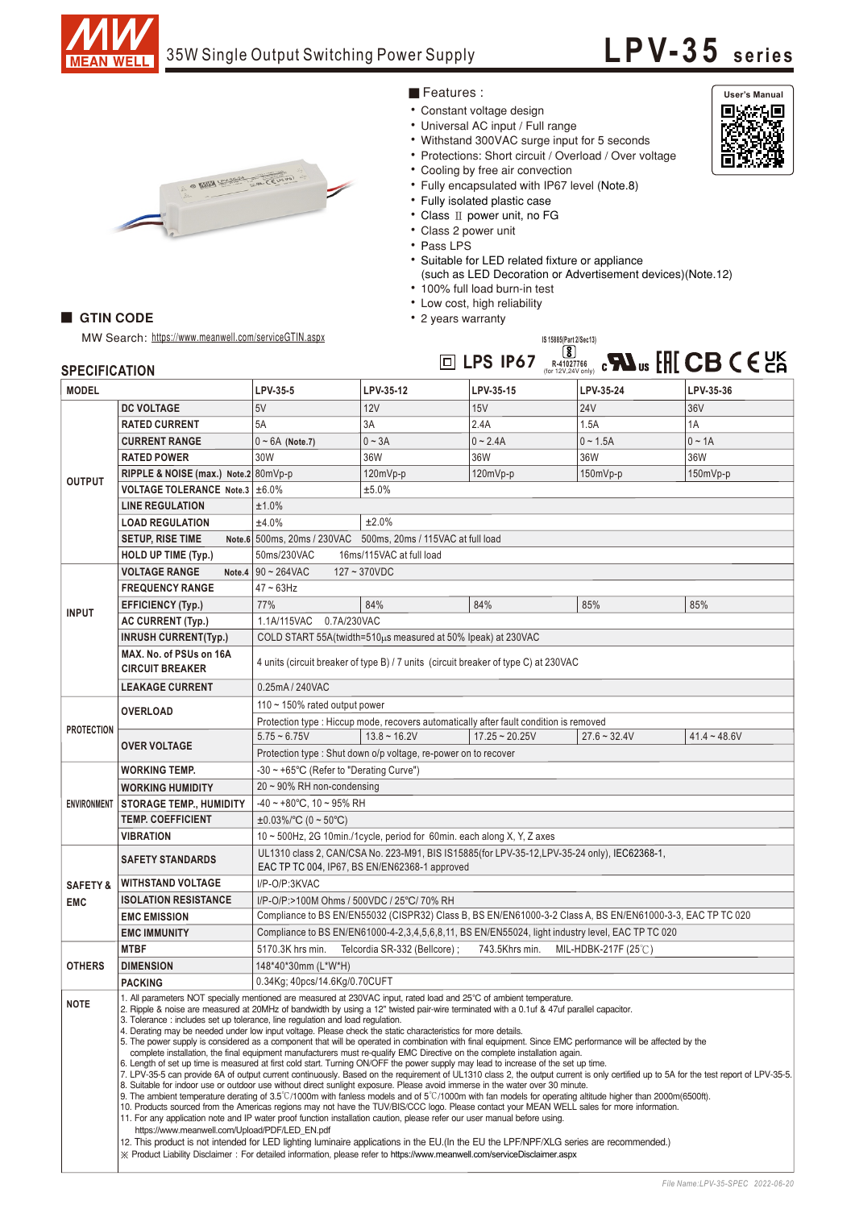

# **LPV-35 seri es**



### ■Features :

- Constant voltage design
- Universal AC input / Full range
- Withstand 300VAC surge input for 5 seconds
- Protections: Short circuit / Overload / Over voltage
- Cooling by free air convection
- Fully encapsulated with IP67 level (Note.8)
- Fully isolated plastic case
- Class II power unit, no FG
- Class 2 power unit
- Pass LPS
- Suitable for LED related fixture or appliance
- (such as LED Decoration or Advertisement devices) (Note.12)
- 100% full load burn-in test
- Low cost, high reliability
- 2 years warranty

## MW Search: https://www.meanwell.com/serviceGTIN.aspx

**GTIN CODE** 

#### **LPS IP67 R-41027766 SPECIFICATION** (for 12V,24V only) **DC VOLTAGE** 5V 12V 15V 24V 36V **RATED CURRENT** 5A 3A 2.4A 1.5A 14 **CURRENT RANGE**  0 ~ 6A (Note.7) 0 ~ 3A 0 ~ 2.4A 0 ~ 1.5A 0 ~ 1.4 **RATED POWER**  30W 36W 36W 36W 36W 80mVp-p 120mVp-p 120mVp-p 150mVp-p 150mVp-p **RIPPLE & NOISE (max.) Note.2 VOLTAGE TOLERANCE Note.3** ±6.0% ±5.0% **LINE REGULATION**  ±1.0% **LOAD REGULATION**  ±4.0% ±2.0% **SETUP, RISE TIME Note.6** 500ms, 20ms / 230VAC 500ms, 20ms / 115VAC at full load **HOLD UP TIME (Typ.)** 50ms/230VAC 16ms/115VAC at full load **VOLTAGE RANGE Note.4** 90 ~ 264VAC 127 ~ 370VDC **FREQUENCY RANGE** 47 ~ 63Hz **EFFICIENCY (Typ.)** 77% 84% 84% 85% 85% **AC CURRENT (Typ.)** 1.1A/115VAC 0.7A/230VAC **INRUSH CURRENT(Typ.)** COLD START 55A(twidth=510μs measured at 50% Ipeak) at 230VAC **MAX. No. of PSUs on 16A** 4 units (circuit breaker of type B) / 7 units (circuit breaker of type C) at 230VAC **CIRCUIT BREAKER LEAKAGE CURRENT** 0.25mA / 240VAC 110 ~ 150% rated output power **OVERLOAD** Protection type : Hiccup mode, recovers automatically after fault condition is removed 5.75 ~ 6.75V 13.8 ~ 16.2V 17.25 ~ 20.25V 27.6 ~ 32.4V 41.4 ~ 48.6V **OVER VOLTAGE**  Protection type : Shut down o/p voltage, re-power on to recover **WORKING TEMP.** -30 ~ +65℃ (Refer to "Derating Curve") 20 ~ 90% RH non-condensing **WORKING HUMIDITY STORAGE TEMP., HUMIDITY** -40 ~ +80℃, 10 ~ 95% RH **TEMP. COEFFICIENT** ±0.03%/℃ (0 ~ 50℃) 10 ~ 500Hz, 2G 10min./1cycle, period for 60min. each along X, Y, Z axes **VIBRATION** UL1310 class 2, CAN/CSA No. 223-M91, BIS IS15885(for LPV-35-12,LPV-35-24 only), IEC62368-1, **SAFETY STANDARDS** EAC TP TC 004, IP67, BS EN/EN62368-1 approved **WITHSTAND VOLTAGE** I/P-O/P:3KVAC **ISOLATION RESISTANCE** I/P-O/P:>100M Ohms / 500VDC / 25℃/ 70% RH **EMC EMISSION** Compliance to BS EN/EN55032 (CISPR32) Class B, BS EN/EN61000-3-2 Class A, BS EN/EN61000-3-3, EAC TP TC 020 **EMC IMMUNITY** Compliance to BS EN/EN61000-4-2,3,4,5,6,8,11, BS EN/EN55024, light industry level, EAC TP TC 020 **MTBF** 5170.3K hrs min. Telcordia SR-332 (Bellcore) ; 743.5Khrs min. MIL-HDBK-217F (25℃) 148\*40\*30mm (L\*W\*H) 0.34Kg; 40pcs/14.6Kg/0.70CUFT **PACKING** 1. All parameters NOT specially mentioned are measured at 230VAC input, rated load and 25°C of ambient temperature. 2. Ripple & noise are measured at 20MHz of bandwidth by using a 12" twisted pair-wire terminated with a 0.1uf & 47uf parallel capacitor. 3. Tolerance : includes set up tolerance, line regulation and load regulation. 4. Derating may be needed under low input voltage. Please check the static characteristics for more details. 5. The power supply is considered as a component that will be operated in combination with final equipment. Since EMC performance will be affected by the complete installation, the final equipment manufacturers must re-qualify EMC Directive on the complete installation again. 6. Length of set up time is measured at first cold start. Turning ON/OFF the power supply may lead to increase of the set up time. 7. LPV-35-5 can provide 6A of output current continuously. Based on the requirement of UL1310 class 2, the output current is only certified up to 5A for the test report of LPV-35-5. 8. Suitable for indoor use or outdoor use without direct sunlight exposure. Please avoid immerse in the water over 30 minute. 9. The ambient temperature derating of 3.5°C/1000m with fanless models and of 5°C/1000m with fan models for operating altitude higher than 2000m(6500ft). 10. Products sourced from the Americas regions may not have the TUV/BIS/CCC logo. Please contact your MEAN WELL sales for more information.<br>11. For any application note and IP water proof function installation caution, ple https://www.meanwell.com/Upload/PDF/LED\_EN.pdf 12. This product is not intended for LED lighting luminaire applications in the EU. (In the EU the LPF/NPF/XLG series are recommended.)

 $\%$  Product Liability Disclaimer : For detailed information, please refer to https://www.meanwell.com/serviceDisclaimer.aspx

**IS 15885(Part 2/Sec13)**

| <b>MODEL</b>                      |                                                   | LPV-35-5                                                                                                                                                                                                                                                                                                                                                                                                                                                                                                                                                                                                                                                                                                                                                                                                                                                                                                                                                                                                                                                                                                                                                                                                                                                                                                                                                                                                                                                                                                                                                  | LPV-35-12                     | LPV-35-15        | LPV-35-24           | LPV-35-36      |
|-----------------------------------|---------------------------------------------------|-----------------------------------------------------------------------------------------------------------------------------------------------------------------------------------------------------------------------------------------------------------------------------------------------------------------------------------------------------------------------------------------------------------------------------------------------------------------------------------------------------------------------------------------------------------------------------------------------------------------------------------------------------------------------------------------------------------------------------------------------------------------------------------------------------------------------------------------------------------------------------------------------------------------------------------------------------------------------------------------------------------------------------------------------------------------------------------------------------------------------------------------------------------------------------------------------------------------------------------------------------------------------------------------------------------------------------------------------------------------------------------------------------------------------------------------------------------------------------------------------------------------------------------------------------------|-------------------------------|------------------|---------------------|----------------|
| <b>OUTPUT</b>                     | <b>DC VOLTAGE</b>                                 | 5V                                                                                                                                                                                                                                                                                                                                                                                                                                                                                                                                                                                                                                                                                                                                                                                                                                                                                                                                                                                                                                                                                                                                                                                                                                                                                                                                                                                                                                                                                                                                                        | 12V                           | 15V              | <b>24V</b>          | 36V            |
|                                   | <b>RATED CURRENT</b>                              | 5A                                                                                                                                                                                                                                                                                                                                                                                                                                                                                                                                                                                                                                                                                                                                                                                                                                                                                                                                                                                                                                                                                                                                                                                                                                                                                                                                                                                                                                                                                                                                                        | 3A                            | 2.4A             | 1.5A                | 1A             |
|                                   | <b>CURRENT RANGE</b>                              | $0 \sim 6A$ (Note.7)                                                                                                                                                                                                                                                                                                                                                                                                                                                                                                                                                                                                                                                                                                                                                                                                                                                                                                                                                                                                                                                                                                                                                                                                                                                                                                                                                                                                                                                                                                                                      | $0 - 3A$                      | $0 - 2.4A$       | $0 - 1.5A$          | $0 \sim 1A$    |
|                                   | <b>RATED POWER</b>                                | 30W                                                                                                                                                                                                                                                                                                                                                                                                                                                                                                                                                                                                                                                                                                                                                                                                                                                                                                                                                                                                                                                                                                                                                                                                                                                                                                                                                                                                                                                                                                                                                       | 36W                           | 36W              | 36W                 | 36W            |
|                                   | RIPPLE & NOISE (max.) Note.2 80mVp-p              |                                                                                                                                                                                                                                                                                                                                                                                                                                                                                                                                                                                                                                                                                                                                                                                                                                                                                                                                                                                                                                                                                                                                                                                                                                                                                                                                                                                                                                                                                                                                                           | 120mVp-p                      | 120mVp-p         | 150mVp-p            | 150mVp-p       |
|                                   | VOLTAGE TOLERANCE Note.3 ±6.0%                    |                                                                                                                                                                                                                                                                                                                                                                                                                                                                                                                                                                                                                                                                                                                                                                                                                                                                                                                                                                                                                                                                                                                                                                                                                                                                                                                                                                                                                                                                                                                                                           | ±5.0%                         |                  |                     |                |
|                                   | <b>LINE REGULATION</b>                            | ±1.0%                                                                                                                                                                                                                                                                                                                                                                                                                                                                                                                                                                                                                                                                                                                                                                                                                                                                                                                                                                                                                                                                                                                                                                                                                                                                                                                                                                                                                                                                                                                                                     |                               |                  |                     |                |
|                                   | <b>LOAD REGULATION</b>                            | ±4.0%<br>±2.0%                                                                                                                                                                                                                                                                                                                                                                                                                                                                                                                                                                                                                                                                                                                                                                                                                                                                                                                                                                                                                                                                                                                                                                                                                                                                                                                                                                                                                                                                                                                                            |                               |                  |                     |                |
|                                   | <b>SETUP, RISE TIME</b>                           | Note.6 500ms, 20ms / 230VAC 500ms, 20ms / 115VAC at full load                                                                                                                                                                                                                                                                                                                                                                                                                                                                                                                                                                                                                                                                                                                                                                                                                                                                                                                                                                                                                                                                                                                                                                                                                                                                                                                                                                                                                                                                                             |                               |                  |                     |                |
|                                   | <b>HOLD UP TIME (Typ.)</b>                        | 50ms/230VAC<br>16ms/115VAC at full load                                                                                                                                                                                                                                                                                                                                                                                                                                                                                                                                                                                                                                                                                                                                                                                                                                                                                                                                                                                                                                                                                                                                                                                                                                                                                                                                                                                                                                                                                                                   |                               |                  |                     |                |
| <b>INPUT</b>                      | <b>VOLTAGE RANGE</b><br>Note.4                    | $90 \sim 264$ VAC<br>$127 - 370VDC$                                                                                                                                                                                                                                                                                                                                                                                                                                                                                                                                                                                                                                                                                                                                                                                                                                                                                                                                                                                                                                                                                                                                                                                                                                                                                                                                                                                                                                                                                                                       |                               |                  |                     |                |
|                                   | <b>FREQUENCY RANGE</b>                            | $47 \sim 63$ Hz                                                                                                                                                                                                                                                                                                                                                                                                                                                                                                                                                                                                                                                                                                                                                                                                                                                                                                                                                                                                                                                                                                                                                                                                                                                                                                                                                                                                                                                                                                                                           |                               |                  |                     |                |
|                                   | <b>EFFICIENCY (Typ.)</b>                          | 77%                                                                                                                                                                                                                                                                                                                                                                                                                                                                                                                                                                                                                                                                                                                                                                                                                                                                                                                                                                                                                                                                                                                                                                                                                                                                                                                                                                                                                                                                                                                                                       | 84%                           | 84%              | 85%                 | 85%            |
|                                   | AC CURRENT (Typ.)                                 | 1.1A/115VAC 0.7A/230VAC                                                                                                                                                                                                                                                                                                                                                                                                                                                                                                                                                                                                                                                                                                                                                                                                                                                                                                                                                                                                                                                                                                                                                                                                                                                                                                                                                                                                                                                                                                                                   |                               |                  |                     |                |
|                                   | <b>INRUSH CURRENT(Typ.)</b>                       | COLD START 55A(twidth=510us measured at 50% Ipeak) at 230VAC                                                                                                                                                                                                                                                                                                                                                                                                                                                                                                                                                                                                                                                                                                                                                                                                                                                                                                                                                                                                                                                                                                                                                                                                                                                                                                                                                                                                                                                                                              |                               |                  |                     |                |
|                                   | MAX. No. of PSUs on 16A<br><b>CIRCUIT BREAKER</b> | 4 units (circuit breaker of type B) / 7 units (circuit breaker of type C) at 230VAC                                                                                                                                                                                                                                                                                                                                                                                                                                                                                                                                                                                                                                                                                                                                                                                                                                                                                                                                                                                                                                                                                                                                                                                                                                                                                                                                                                                                                                                                       |                               |                  |                     |                |
|                                   | <b>LEAKAGE CURRENT</b>                            | 0.25mA / 240VAC                                                                                                                                                                                                                                                                                                                                                                                                                                                                                                                                                                                                                                                                                                                                                                                                                                                                                                                                                                                                                                                                                                                                                                                                                                                                                                                                                                                                                                                                                                                                           |                               |                  |                     |                |
| <b>PROTECTION</b>                 | <b>OVERLOAD</b>                                   | 110 $\sim$ 150% rated output power<br>Protection type : Hiccup mode, recovers automatically after fault condition is removed                                                                                                                                                                                                                                                                                                                                                                                                                                                                                                                                                                                                                                                                                                                                                                                                                                                                                                                                                                                                                                                                                                                                                                                                                                                                                                                                                                                                                              |                               |                  |                     |                |
|                                   | <b>OVER VOLTAGE</b>                               | $5.75 - 6.75V$                                                                                                                                                                                                                                                                                                                                                                                                                                                                                                                                                                                                                                                                                                                                                                                                                                                                                                                                                                                                                                                                                                                                                                                                                                                                                                                                                                                                                                                                                                                                            | $13.8 - 16.2V$                | $17.25 - 20.25V$ | $27.6 - 32.4V$      | $41.4 - 48.6V$ |
|                                   |                                                   |                                                                                                                                                                                                                                                                                                                                                                                                                                                                                                                                                                                                                                                                                                                                                                                                                                                                                                                                                                                                                                                                                                                                                                                                                                                                                                                                                                                                                                                                                                                                                           |                               |                  |                     |                |
| <b>ENVIRONMENT</b>                | <b>WORKING TEMP.</b>                              | Protection type: Shut down o/p voltage, re-power on to recover<br>-30 ~ +65°C (Refer to "Derating Curve")                                                                                                                                                                                                                                                                                                                                                                                                                                                                                                                                                                                                                                                                                                                                                                                                                                                                                                                                                                                                                                                                                                                                                                                                                                                                                                                                                                                                                                                 |                               |                  |                     |                |
|                                   | <b>WORKING HUMIDITY</b>                           | $20 \sim 90\%$ RH non-condensing                                                                                                                                                                                                                                                                                                                                                                                                                                                                                                                                                                                                                                                                                                                                                                                                                                                                                                                                                                                                                                                                                                                                                                                                                                                                                                                                                                                                                                                                                                                          |                               |                  |                     |                |
|                                   | <b>STORAGE TEMP., HUMIDITY</b>                    | $-40 \sim +80^{\circ}$ C, 10 ~ 95% RH                                                                                                                                                                                                                                                                                                                                                                                                                                                                                                                                                                                                                                                                                                                                                                                                                                                                                                                                                                                                                                                                                                                                                                                                                                                                                                                                                                                                                                                                                                                     |                               |                  |                     |                |
|                                   | <b>TEMP. COEFFICIENT</b>                          | $\pm 0.03\%$ /°C (0 ~ 50°C)                                                                                                                                                                                                                                                                                                                                                                                                                                                                                                                                                                                                                                                                                                                                                                                                                                                                                                                                                                                                                                                                                                                                                                                                                                                                                                                                                                                                                                                                                                                               |                               |                  |                     |                |
|                                   | <b>VIBRATION</b>                                  | 10 ~ 500Hz, 2G 10min./1cycle, period for 60min. each along X, Y, Z axes                                                                                                                                                                                                                                                                                                                                                                                                                                                                                                                                                                                                                                                                                                                                                                                                                                                                                                                                                                                                                                                                                                                                                                                                                                                                                                                                                                                                                                                                                   |                               |                  |                     |                |
| <b>SAFETY &amp;</b><br><b>EMC</b> | <b>SAFETY STANDARDS</b>                           | UL1310 class 2, CAN/CSA No. 223-M91, BIS IS15885(for LPV-35-12, LPV-35-24 only), IEC62368-1,                                                                                                                                                                                                                                                                                                                                                                                                                                                                                                                                                                                                                                                                                                                                                                                                                                                                                                                                                                                                                                                                                                                                                                                                                                                                                                                                                                                                                                                              |                               |                  |                     |                |
|                                   |                                                   | EAC TP TC 004, IP67, BS EN/EN62368-1 approved                                                                                                                                                                                                                                                                                                                                                                                                                                                                                                                                                                                                                                                                                                                                                                                                                                                                                                                                                                                                                                                                                                                                                                                                                                                                                                                                                                                                                                                                                                             |                               |                  |                     |                |
|                                   | <b>WITHSTAND VOLTAGE</b>                          | I/P-O/P:3KVAC                                                                                                                                                                                                                                                                                                                                                                                                                                                                                                                                                                                                                                                                                                                                                                                                                                                                                                                                                                                                                                                                                                                                                                                                                                                                                                                                                                                                                                                                                                                                             |                               |                  |                     |                |
|                                   | <b>ISOLATION RESISTANCE</b>                       | I/P-O/P:>100M Ohms / 500VDC / 25°C/ 70% RH                                                                                                                                                                                                                                                                                                                                                                                                                                                                                                                                                                                                                                                                                                                                                                                                                                                                                                                                                                                                                                                                                                                                                                                                                                                                                                                                                                                                                                                                                                                |                               |                  |                     |                |
|                                   | <b>EMC EMISSION</b>                               | Compliance to BS EN/EN55032 (CISPR32) Class B, BS EN/EN61000-3-2 Class A, BS EN/EN61000-3-3, EAC TP TC 020                                                                                                                                                                                                                                                                                                                                                                                                                                                                                                                                                                                                                                                                                                                                                                                                                                                                                                                                                                                                                                                                                                                                                                                                                                                                                                                                                                                                                                                |                               |                  |                     |                |
|                                   | <b>EMC IMMUNITY</b>                               | Compliance to BS EN/EN61000-4-2,3,4,5,6,8,11, BS EN/EN55024, light industry level, EAC TP TC 020                                                                                                                                                                                                                                                                                                                                                                                                                                                                                                                                                                                                                                                                                                                                                                                                                                                                                                                                                                                                                                                                                                                                                                                                                                                                                                                                                                                                                                                          |                               |                  |                     |                |
| <b>OTHERS</b>                     | <b>MTBF</b>                                       | 5170.3K hrs min.                                                                                                                                                                                                                                                                                                                                                                                                                                                                                                                                                                                                                                                                                                                                                                                                                                                                                                                                                                                                                                                                                                                                                                                                                                                                                                                                                                                                                                                                                                                                          | Telcordia SR-332 (Bellcore) ; | 743.5Khrs min.   | MIL-HDBK-217F (25℃) |                |
|                                   | <b>DIMENSION</b>                                  | 148*40*30mm (L*W*H)                                                                                                                                                                                                                                                                                                                                                                                                                                                                                                                                                                                                                                                                                                                                                                                                                                                                                                                                                                                                                                                                                                                                                                                                                                                                                                                                                                                                                                                                                                                                       |                               |                  |                     |                |
|                                   | <b>PACKING</b>                                    | 0.34Kg; 40pcs/14.6Kg/0.70CUFT                                                                                                                                                                                                                                                                                                                                                                                                                                                                                                                                                                                                                                                                                                                                                                                                                                                                                                                                                                                                                                                                                                                                                                                                                                                                                                                                                                                                                                                                                                                             |                               |                  |                     |                |
| <b>NOTE</b>                       |                                                   | 1. All parameters NOT specially mentioned are measured at 230VAC input, rated load and 25°C of ambient temperature.<br>2. Ripple & noise are measured at 20MHz of bandwidth by using a 12" twisted pair-wire terminated with a 0.1uf & 47uf parallel capacitor.<br>3. Tolerance : includes set up tolerance, line regulation and load regulation.<br>4. Derating may be needed under low input voltage. Please check the static characteristics for more details.<br>5. The power supply is considered as a component that will be operated in combination with final equipment. Since EMC performance will be affected by the<br>complete installation, the final equipment manufacturers must re-qualify EMC Directive on the complete installation again.<br>6. Length of set up time is measured at first cold start. Turning ON/OFF the power supply may lead to increase of the set up time.<br>7. LPV-35-5 can provide 6A of output current continuously. Based on the requirement of UL1310 class 2, the output current is only certified up to 5A for the test report of LPV-35<br>8. Suitable for indoor use or outdoor use without direct sunlight exposure. Please avoid immerse in the water over 30 minute.<br>9. The ambient temperature derating of $3.5^{\circ}$ C/1000m with fanless models and of $5^{\circ}$ C/1000m with fan models for operating altitude higher than 2000m(6500ft).<br>10. Products sourced from the Americas regions may not have the TUV/BIS/CCC logo. Please contact your MEAN WELL sales for more information. |                               |                  |                     |                |